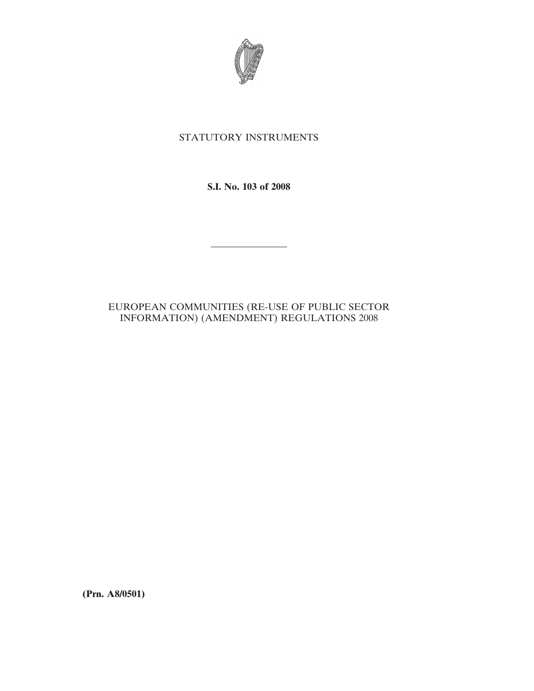

## STATUTORY INSTRUMENTS

**S.I. No. 103 of 2008**

————————

## EUROPEAN COMMUNITIES (RE-USE OF PUBLIC SECTOR INFORMATION) (AMENDMENT) REGULATIONS 2008

**(Prn. A8/0501)**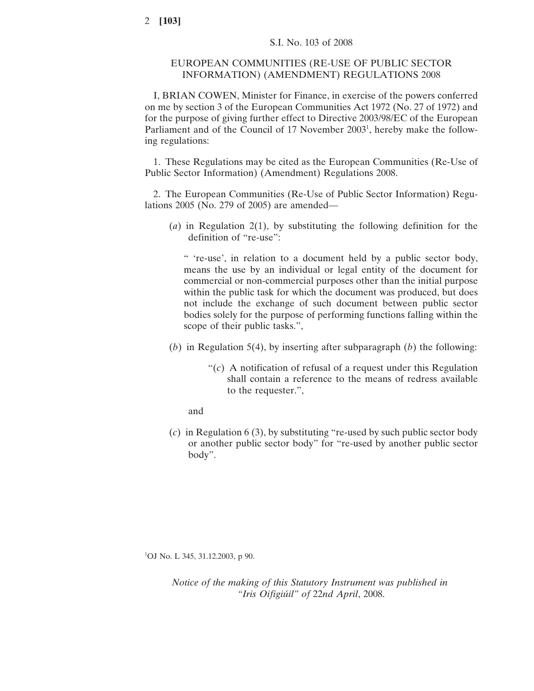## EUROPEAN COMMUNITIES (RE-USE OF PUBLIC SECTOR INFORMATION) (AMENDMENT) REGULATIONS 2008

I, BRIAN COWEN, Minister for Finance, in exercise of the powers conferred on me by section 3 of the European Communities Act 1972 (No. 27 of 1972) and for the purpose of giving further effect to Directive 2003/98/EC of the European Parliament and of the Council of 17 November 2003<sup>1</sup>, hereby make the following regulations:

1. These Regulations may be cited as the European Communities (Re-Use of Public Sector Information) (Amendment) Regulations 2008.

2. The European Communities (Re-Use of Public Sector Information) Regulations 2005 (No. 279 of 2005) are amended—

(*a*) in Regulation 2(1), by substituting the following definition for the definition of "re-use":

" 're-use', in relation to a document held by a public sector body, means the use by an individual or legal entity of the document for commercial or non-commercial purposes other than the initial purpose within the public task for which the document was produced, but does not include the exchange of such document between public sector bodies solely for the purpose of performing functions falling within the scope of their public tasks.",

- (*b*) in Regulation 5(4), by inserting after subparagraph (*b*) the following:
	- "(*c*) A notification of refusal of a request under this Regulation shall contain a reference to the means of redress available to the requester.",

and

(*c*) in Regulation 6 (3), by substituting "re-used by such public sector body or another public sector body" for "re-used by another public sector body".

1 OJ No. L 345, 31.12.2003, p 90.

*Notice of the making of this Statutory Instrument was published in "Iris Oifigiu´il" of* 22*nd April*, 2008.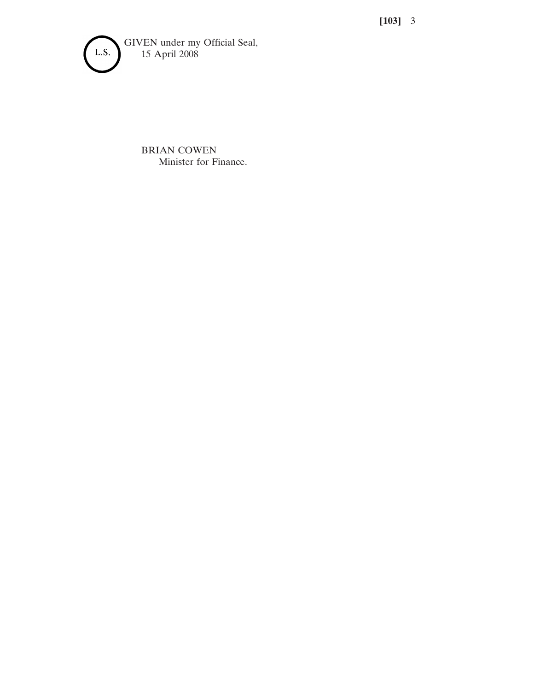**[103]** 3



BRIAN COWEN Minister for Finance.